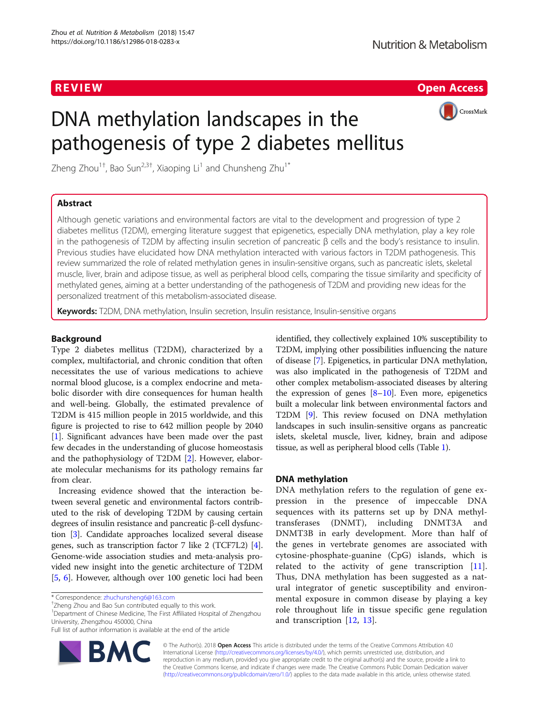R EVI EW Open Access



# DNA methylation landscapes in the pathogenesis of type 2 diabetes mellitus

Zheng Zhou<sup>1†</sup>, Bao Sun<sup>2,3†</sup>, Xiaoping Li<sup>1</sup> and Chunsheng Zhu<sup>1\*</sup>

# Abstract

Although genetic variations and environmental factors are vital to the development and progression of type 2 diabetes mellitus (T2DM), emerging literature suggest that epigenetics, especially DNA methylation, play a key role in the pathogenesis of T2DM by affecting insulin secretion of pancreatic β cells and the body's resistance to insulin. Previous studies have elucidated how DNA methylation interacted with various factors in T2DM pathogenesis. This review summarized the role of related methylation genes in insulin-sensitive organs, such as pancreatic islets, skeletal muscle, liver, brain and adipose tissue, as well as peripheral blood cells, comparing the tissue similarity and specificity of methylated genes, aiming at a better understanding of the pathogenesis of T2DM and providing new ideas for the personalized treatment of this metabolism-associated disease.

Keywords: T2DM, DNA methylation, Insulin secretion, Insulin resistance, Insulin-sensitive organs

# Background

Type 2 diabetes mellitus (T2DM), characterized by a complex, multifactorial, and chronic condition that often necessitates the use of various medications to achieve normal blood glucose, is a complex endocrine and metabolic disorder with dire consequences for human health and well-being. Globally, the estimated prevalence of T2DM is 415 million people in 2015 worldwide, and this figure is projected to rise to 642 million people by 2040 [[1\]](#page-5-0). Significant advances have been made over the past few decades in the understanding of glucose homeostasis and the pathophysiology of T2DM [[2\]](#page-5-0). However, elaborate molecular mechanisms for its pathology remains far from clear.

Increasing evidence showed that the interaction between several genetic and environmental factors contributed to the risk of developing T2DM by causing certain degrees of insulin resistance and pancreatic β-cell dysfunction [[3](#page-5-0)]. Candidate approaches localized several disease genes, such as transcription factor 7 like 2 (TCF7L2) [[4](#page-5-0)]. Genome-wide association studies and meta-analysis provided new insight into the genetic architecture of T2DM [[5,](#page-5-0) [6](#page-5-0)]. However, although over 100 genetic loci had been

<sup>1</sup>Department of Chinese Medicine, The First Affiliated Hospital of Zhengzhou University, Zhengzhou 450000, China

Full list of author information is available at the end of the article



identified, they collectively explained 10% susceptibility to T2DM, implying other possibilities influencing the nature of disease [\[7](#page-5-0)]. Epigenetics, in particular DNA methylation, was also implicated in the pathogenesis of T2DM and other complex metabolism-associated diseases by altering the expression of genes  $[8-10]$  $[8-10]$  $[8-10]$  $[8-10]$ . Even more, epigenetics built a molecular link between environmental factors and T2DM [[9\]](#page-5-0). This review focused on DNA methylation landscapes in such insulin-sensitive organs as pancreatic islets, skeletal muscle, liver, kidney, brain and adipose tissue, as well as peripheral blood cells (Table [1\)](#page-1-0).

# DNA methylation

DNA methylation refers to the regulation of gene expression in the presence of impeccable DNA sequences with its patterns set up by DNA methyltransferases (DNMT), including DNMT3A and DNMT3B in early development. More than half of the genes in vertebrate genomes are associated with cytosine-phosphate-guanine (CpG) islands, which is related to the activity of gene transcription [\[11](#page-5-0)]. Thus, DNA methylation has been suggested as a natural integrator of genetic susceptibility and environmental exposure in common disease by playing a key role throughout life in tissue specific gene regulation and transcription [[12,](#page-5-0) [13](#page-5-0)].

© The Author(s). 2018 Open Access This article is distributed under the terms of the Creative Commons Attribution 4.0 International License [\(http://creativecommons.org/licenses/by/4.0/](http://creativecommons.org/licenses/by/4.0/)), which permits unrestricted use, distribution, and reproduction in any medium, provided you give appropriate credit to the original author(s) and the source, provide a link to the Creative Commons license, and indicate if changes were made. The Creative Commons Public Domain Dedication waiver [\(http://creativecommons.org/publicdomain/zero/1.0/](http://creativecommons.org/publicdomain/zero/1.0/)) applies to the data made available in this article, unless otherwise stated.

<sup>\*</sup> Correspondence: [zhuchunsheng6@163.com](mailto:zhuchunsheng6@163.com) †

<sup>&</sup>lt;sup>+</sup>Zheng Zhou and Bao Sun contributed equally to this work.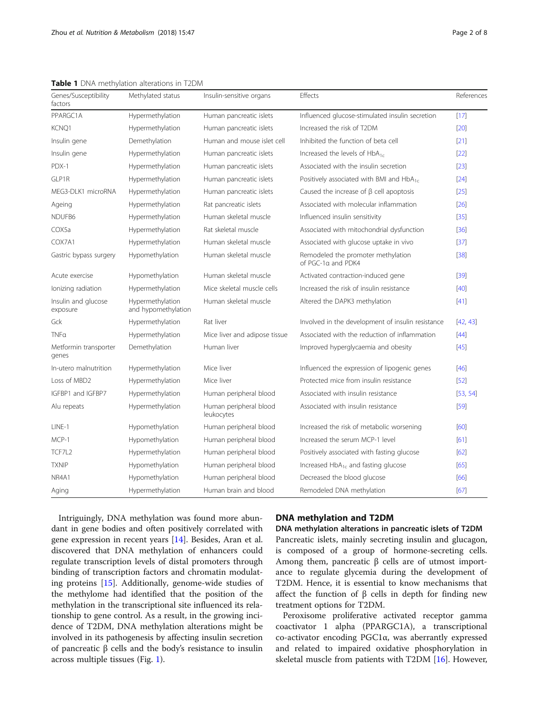<span id="page-1-0"></span>Table 1 DNA methylation alterations in T2DM

| Genes/Susceptibility<br>factors | Methylated status                       | Insulin-sensitive organs             | Effects                                                  | References |
|---------------------------------|-----------------------------------------|--------------------------------------|----------------------------------------------------------|------------|
| PPARGC1A                        | Hypermethylation                        | Human pancreatic islets              | Influenced glucose-stimulated insulin secretion          | $[17]$     |
| KCNQ1                           | Hypermethylation                        | Human pancreatic islets              | Increased the risk of T2DM                               | [20]       |
| Insulin gene                    | Demethylation                           | Human and mouse islet cell           | Inhibited the function of beta cell                      | $[21]$     |
| Insulin gene                    | Hypermethylation                        | Human pancreatic islets              | Increased the levels of $HbA_{1c}$                       | [22]       |
| PDX-1                           | Hypermethylation                        | Human pancreatic islets              | Associated with the insulin secretion                    | $[23]$     |
| GLP1R                           | Hypermethylation                        | Human pancreatic islets              | Positively associated with BMI and HbA <sub>1c</sub>     | $[24]$     |
| MEG3-DLK1 microRNA              | Hypermethylation                        | Human pancreatic islets              | Caused the increase of $\beta$ cell apoptosis            | [25]       |
| Ageing                          | Hypermethylation                        | Rat pancreatic islets                | Associated with molecular inflammation                   | [26]       |
| NDUFB6                          | Hypermethylation                        | Human skeletal muscle                | Influenced insulin sensitivity                           | $[35]$     |
| COX5a                           | Hypermethylation                        | Rat skeletal muscle                  | Associated with mitochondrial dysfunction                | $[36]$     |
| COX7A1                          | Hypermethylation                        | Human skeletal muscle                | Associated with glucose uptake in vivo                   | $[37]$     |
| Gastric bypass surgery          | Hypomethylation                         | Human skeletal muscle                | Remodeled the promoter methylation<br>of PGC-1a and PDK4 | $[38]$     |
| Acute exercise                  | Hypomethylation                         | Human skeletal muscle                | Activated contraction-induced gene                       | $[39]$     |
| Ionizing radiation              | Hypermethylation                        | Mice skeletal muscle cells           | Increased the risk of insulin resistance                 | [40]       |
| Insulin and glucose<br>exposure | Hypermethylation<br>and hypomethylation | Human skeletal muscle                | Altered the DAPK3 methylation                            | [41]       |
| Gck                             | Hypermethylation                        | Rat liver                            | Involved in the development of insulin resistance        | [42, 43]   |
| TNFa                            | Hypermethylation                        | Mice liver and adipose tissue        | Associated with the reduction of inflammation            | $[44]$     |
| Metformin transporter<br>genes  | Demethylation                           | Human liver                          | Improved hyperglycaemia and obesity                      | $[45]$     |
| In-utero malnutrition           | Hypermethylation                        | Mice liver                           | Influenced the expression of lipogenic genes             | $[46]$     |
| Loss of MBD2                    | Hypermethylation                        | Mice liver                           | Protected mice from insulin resistance                   | $[52]$     |
| IGFBP1 and IGFBP7               | Hypermethylation                        | Human peripheral blood               | Associated with insulin resistance                       | [53, 54]   |
| Alu repeats                     | Hypermethylation                        | Human peripheral blood<br>leukocytes | Associated with insulin resistance                       | [59]       |
| LINE-1                          | Hypomethylation                         | Human peripheral blood               | Increased the risk of metabolic worsening                | [60]       |
| MCP-1                           | Hypomethylation                         | Human peripheral blood               | Increased the serum MCP-1 level                          | [61]       |
| TCF7L2                          | Hypermethylation                        | Human peripheral blood               | Positively associated with fasting glucose               | [62]       |
| <b>TXNIP</b>                    | Hypomethylation                         | Human peripheral blood               | Increased HbA <sub>1c</sub> and fasting glucose          | [65]       |
| NR4A1                           | Hypomethylation                         | Human peripheral blood               | Decreased the blood glucose                              | [66]       |
| Aging                           | Hypermethylation                        | Human brain and blood                | Remodeled DNA methylation                                | [67]       |

Intriguingly, DNA methylation was found more abundant in gene bodies and often positively correlated with gene expression in recent years [[14\]](#page-5-0). Besides, Aran et al. discovered that DNA methylation of enhancers could regulate transcription levels of distal promoters through binding of transcription factors and chromatin modulating proteins [[15](#page-5-0)]. Additionally, genome-wide studies of the methylome had identified that the position of the methylation in the transcriptional site influenced its relationship to gene control. As a result, in the growing incidence of T2DM, DNA methylation alterations might be involved in its pathogenesis by affecting insulin secretion of pancreatic β cells and the body's resistance to insulin across multiple tissues (Fig. [1\)](#page-2-0).

# DNA methylation and T2DM

DNA methylation alterations in pancreatic islets of T2DM Pancreatic islets, mainly secreting insulin and glucagon, is composed of a group of hormone-secreting cells. Among them, pancreatic  $β$  cells are of utmost importance to regulate glycemia during the development of T2DM. Hence, it is essential to know mechanisms that affect the function of  $β$  cells in depth for finding new treatment options for T2DM.

Peroxisome proliferative activated receptor gamma coactivator 1 alpha (PPARGC1A), a transcriptional co-activator encoding PGC1α, was aberrantly expressed and related to impaired oxidative phosphorylation in skeletal muscle from patients with T2DM [\[16](#page-5-0)]. However,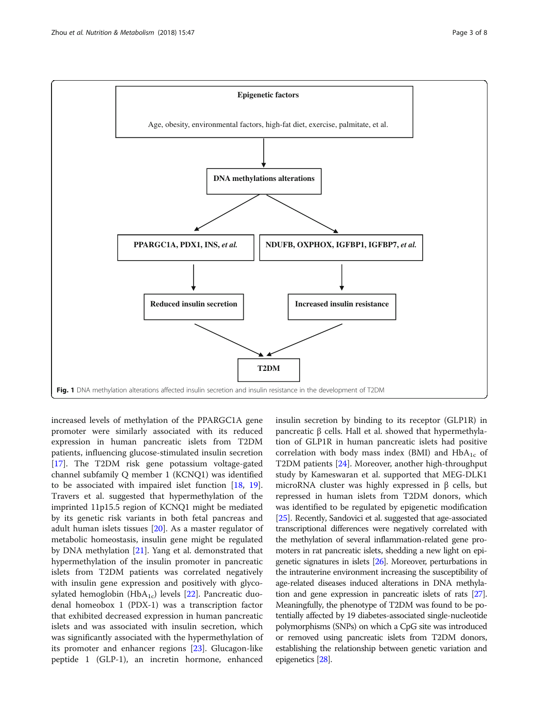<span id="page-2-0"></span>

increased levels of methylation of the PPARGC1A gene promoter were similarly associated with its reduced expression in human pancreatic islets from T2DM patients, influencing glucose-stimulated insulin secretion [[17\]](#page-5-0). The T2DM risk gene potassium voltage-gated channel subfamily Q member 1 (KCNQ1) was identified to be associated with impaired islet function [\[18](#page-5-0), [19](#page-5-0)]. Travers et al. suggested that hypermethylation of the imprinted 11p15.5 region of KCNQ1 might be mediated by its genetic risk variants in both fetal pancreas and adult human islets tissues [\[20\]](#page-5-0). As a master regulator of metabolic homeostasis, insulin gene might be regulated by DNA methylation [[21\]](#page-5-0). Yang et al. demonstrated that hypermethylation of the insulin promoter in pancreatic islets from T2DM patients was correlated negatively with insulin gene expression and positively with glycosylated hemoglobin (Hb $A_{1c}$ ) levels [\[22](#page-5-0)]. Pancreatic duodenal homeobox 1 (PDX-1) was a transcription factor that exhibited decreased expression in human pancreatic islets and was associated with insulin secretion, which was significantly associated with the hypermethylation of its promoter and enhancer regions [[23](#page-5-0)]. Glucagon-like peptide 1 (GLP-1), an incretin hormone, enhanced insulin secretion by binding to its receptor (GLP1R) in pancreatic β cells. Hall et al. showed that hypermethylation of GLP1R in human pancreatic islets had positive correlation with body mass index (BMI) and  $HbA_{1c}$  of T2DM patients [[24\]](#page-5-0). Moreover, another high-throughput study by Kameswaran et al. supported that MEG-DLK1 microRNA cluster was highly expressed in β cells, but repressed in human islets from T2DM donors, which was identified to be regulated by epigenetic modification [[25\]](#page-6-0). Recently, Sandovici et al. suggested that age-associated transcriptional differences were negatively correlated with the methylation of several inflammation-related gene promoters in rat pancreatic islets, shedding a new light on epigenetic signatures in islets [[26\]](#page-6-0). Moreover, perturbations in the intrauterine environment increasing the susceptibility of age-related diseases induced alterations in DNA methylation and gene expression in pancreatic islets of rats [\[27](#page-6-0)]. Meaningfully, the phenotype of T2DM was found to be potentially affected by 19 diabetes-associated single-nucleotide polymorphisms (SNPs) on which a CpG site was introduced or removed using pancreatic islets from T2DM donors, establishing the relationship between genetic variation and epigenetics [\[28](#page-6-0)].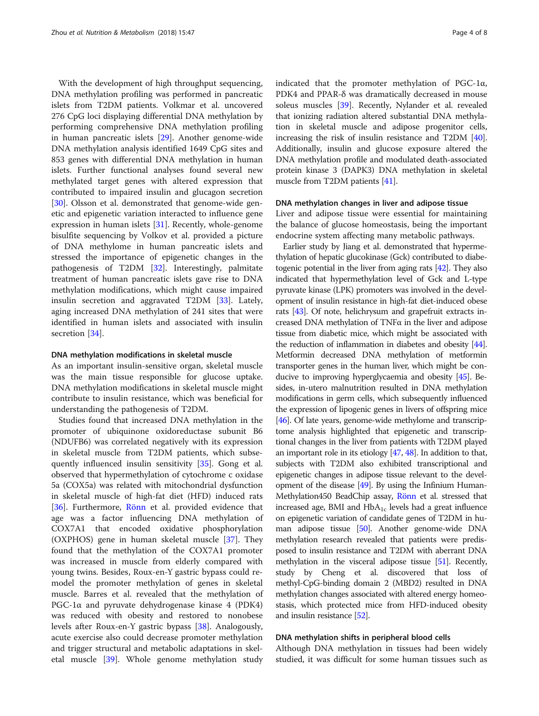With the development of high throughput sequencing, DNA methylation profiling was performed in pancreatic islets from T2DM patients. Volkmar et al. uncovered 276 CpG loci displaying differential DNA methylation by performing comprehensive DNA methylation profiling in human pancreatic islets [\[29](#page-6-0)]. Another genome-wide DNA methylation analysis identified 1649 CpG sites and 853 genes with differential DNA methylation in human islets. Further functional analyses found several new methylated target genes with altered expression that contributed to impaired insulin and glucagon secretion [[30\]](#page-6-0). Olsson et al. demonstrated that genome-wide genetic and epigenetic variation interacted to influence gene expression in human islets [\[31](#page-6-0)]. Recently, whole-genome bisulfite sequencing by Volkov et al. provided a picture of DNA methylome in human pancreatic islets and stressed the importance of epigenetic changes in the pathogenesis of T2DM [[32](#page-6-0)]. Interestingly, palmitate treatment of human pancreatic islets gave rise to DNA methylation modifications, which might cause impaired insulin secretion and aggravated T2DM [\[33](#page-6-0)]. Lately, aging increased DNA methylation of 241 sites that were identified in human islets and associated with insulin secretion [[34\]](#page-6-0).

#### DNA methylation modifications in skeletal muscle

As an important insulin-sensitive organ, skeletal muscle was the main tissue responsible for glucose uptake. DNA methylation modifications in skeletal muscle might contribute to insulin resistance, which was beneficial for understanding the pathogenesis of T2DM.

Studies found that increased DNA methylation in the promoter of ubiquinone oxidoreductase subunit B6 (NDUFB6) was correlated negatively with its expression in skeletal muscle from T2DM patients, which subsequently influenced insulin sensitivity [\[35\]](#page-6-0). Gong et al. observed that hypermethylation of cytochrome c oxidase 5a (COX5a) was related with mitochondrial dysfunction in skeletal muscle of high-fat diet (HFD) induced rats [[36\]](#page-6-0). Furthermore, [Rönn](https://www.ncbi.nlm.nih.gov/pubmed/?term=R%C3%B6nn%20T%5BAuthor%5D&cauthor=true&cauthor_uid=18488190) et al. provided evidence that age was a factor influencing DNA methylation of COX7A1 that encoded oxidative phosphorylation (OXPHOS) gene in human skeletal muscle [\[37\]](#page-6-0). They found that the methylation of the COX7A1 promoter was increased in muscle from elderly compared with young twins. Besides, Roux-en-Y gastric bypass could remodel the promoter methylation of genes in skeletal muscle. Barres et al. revealed that the methylation of PGC-1α and pyruvate dehydrogenase kinase 4 (PDK4) was reduced with obesity and restored to nonobese levels after Roux-en-Y gastric bypass [[38](#page-6-0)]. Analogously, acute exercise also could decrease promoter methylation and trigger structural and metabolic adaptations in skeletal muscle [\[39\]](#page-6-0). Whole genome methylation study indicated that the promoter methylation of PGC-1α, PDK4 and PPAR-δ was dramatically decreased in mouse soleus muscles [[39\]](#page-6-0). Recently, Nylander et al. revealed that ionizing radiation altered substantial DNA methylation in skeletal muscle and adipose progenitor cells, increasing the risk of insulin resistance and T2DM [[40](#page-6-0)]. Additionally, insulin and glucose exposure altered the DNA methylation profile and modulated death-associated protein kinase 3 (DAPK3) DNA methylation in skeletal muscle from T2DM patients [[41](#page-6-0)].

### DNA methylation changes in liver and adipose tissue

Liver and adipose tissue were essential for maintaining the balance of glucose homeostasis, being the important endocrine system affecting many metabolic pathways.

Earlier study by Jiang et al. demonstrated that hypermethylation of hepatic glucokinase (Gck) contributed to diabetogenic potential in the liver from aging rats [[42](#page-6-0)]. They also indicated that hypermethylation level of Gck and L-type pyruvate kinase (LPK) promoters was involved in the development of insulin resistance in high-fat diet-induced obese rats [\[43](#page-6-0)]. Of note, helichrysum and grapefruit extracts increased DNA methylation of TNFα in the liver and adipose tissue from diabetic mice, which might be associated with the reduction of inflammation in diabetes and obesity [\[44](#page-6-0)]. Metformin decreased DNA methylation of metformin transporter genes in the human liver, which might be conducive to improving hyperglycaemia and obesity [[45](#page-6-0)]. Besides, in-utero malnutrition resulted in DNA methylation modifications in germ cells, which subsequently influenced the expression of lipogenic genes in livers of offspring mice [[46](#page-6-0)]. Of late years, genome-wide methylome and transcriptome analysis highlighted that epigenetic and transcriptional changes in the liver from patients with T2DM played an important role in its etiology [\[47](#page-6-0), [48](#page-6-0)]. In addition to that, subjects with T2DM also exhibited transcriptional and epigenetic changes in adipose tissue relevant to the development of the disease  $[49]$  $[49]$ . By using the Infinium Human-Methylation450 BeadChip assay, [Rönn](https://www.ncbi.nlm.nih.gov/pubmed/?term=R%C3%B6nn%20T%5BAuthor%5D&cauthor=true&cauthor_uid=18488190) et al. stressed that increased age, BMI and  $HbA_{1c}$  levels had a great influence on epigenetic variation of candidate genes of T2DM in human adipose tissue [\[50](#page-6-0)]. Another genome-wide DNA methylation research revealed that patients were predisposed to insulin resistance and T2DM with aberrant DNA methylation in the visceral adipose tissue [[51](#page-6-0)]. Recently, study by Cheng et al. discovered that loss of methyl-CpG-binding domain 2 (MBD2) resulted in DNA methylation changes associated with altered energy homeostasis, which protected mice from HFD-induced obesity and insulin resistance [\[52\]](#page-6-0).

#### DNA methylation shifts in peripheral blood cells

Although DNA methylation in tissues had been widely studied, it was difficult for some human tissues such as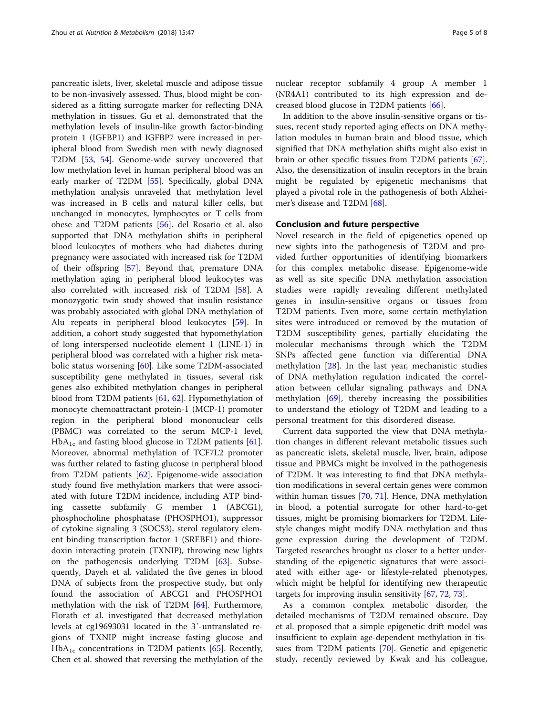pancreatic islets, liver, skeletal muscle and adipose tissue to be non-invasively assessed. Thus, blood might be considered as a fitting surrogate marker for reflecting DNA methylation in tissues. Gu et al. demonstrated that the methylation levels of insulin-like growth factor-binding protein 1 (IGFBP1) and IGFBP7 were increased in peripheral blood from Swedish men with newly diagnosed T2DM [\[53](#page-6-0), [54\]](#page-6-0). Genome-wide survey uncovered that low methylation level in human peripheral blood was an early marker of T2DM [[55\]](#page-6-0). Specifically, global DNA methylation analysis unraveled that methylation level was increased in B cells and natural killer cells, but unchanged in monocytes, lymphocytes or T cells from obese and T2DM patients [\[56](#page-6-0)]. del Rosario et al. also supported that DNA methylation shifts in peripheral blood leukocytes of mothers who had diabetes during pregnancy were associated with increased risk for T2DM of their offspring [\[57\]](#page-6-0). Beyond that, premature DNA methylation aging in peripheral blood leukocytes was also correlated with increased risk of T2DM [[58\]](#page-6-0). A monozygotic twin study showed that insulin resistance was probably associated with global DNA methylation of Alu repeats in peripheral blood leukocytes [[59\]](#page-6-0). In addition, a cohort study suggested that hypomethylation of long interspersed nucleotide element 1 (LINE-1) in peripheral blood was correlated with a higher risk metabolic status worsening [[60\]](#page-6-0). Like some T2DM-associated susceptibility gene methylated in tissues, several risk genes also exhibited methylation changes in peripheral blood from T2DM patients [\[61](#page-6-0), [62](#page-6-0)]. Hypomethylation of monocyte chemoattractant protein-1 (MCP-1) promoter region in the peripheral blood mononuclear cells (PBMC) was correlated to the serum MCP-1 level,  $HbA_{1c}$  and fasting blood glucose in T2DM patients [\[61](#page-6-0)]. Moreover, abnormal methylation of TCF7L2 promoter was further related to fasting glucose in peripheral blood from T2DM patients [\[62](#page-6-0)]. Epigenome-wide association study found five methylation markers that were associated with future T2DM incidence, including ATP binding cassette subfamily G member 1 (ABCG1), phosphocholine phosphatase (PHOSPHO1), suppressor of cytokine signaling 3 (SOCS3), sterol regulatory element binding transcription factor 1 (SREBF1) and thioredoxin interacting protein (TXNIP), throwing new lights on the pathogenesis underlying T2DM [\[63](#page-6-0)]. Subsequently, Dayeh et al. validated the five genes in blood DNA of subjects from the prospective study, but only found the association of ABCG1 and PHOSPHO1 methylation with the risk of T2DM [[64\]](#page-6-0). Furthermore, Florath et al. investigated that decreased methylation levels at cg19693031 located in the 3′-untranslated regions of TXNIP might increase fasting glucose and  $HbA_{1c}$  concentrations in T2DM patients [\[65](#page-7-0)]. Recently, Chen et al. showed that reversing the methylation of the

nuclear receptor subfamily 4 group A member 1 (NR4A1) contributed to its high expression and decreased blood glucose in T2DM patients [\[66\]](#page-7-0).

In addition to the above insulin-sensitive organs or tissues, recent study reported aging effects on DNA methylation modules in human brain and blood tissue, which signified that DNA methylation shifts might also exist in brain or other specific tissues from T2DM patients [\[67](#page-7-0)]. Also, the desensitization of insulin receptors in the brain might be regulated by epigenetic mechanisms that played a pivotal role in the pathogenesis of both Alzheimer's disease and T2DM [[68](#page-7-0)].

## Conclusion and future perspective

Novel research in the field of epigenetics opened up new sights into the pathogenesis of T2DM and provided further opportunities of identifying biomarkers for this complex metabolic disease. Epigenome-wide as well as site specific DNA methylation association studies were rapidly revealing different methylated genes in insulin-sensitive organs or tissues from T2DM patients. Even more, some certain methylation sites were introduced or removed by the mutation of T2DM susceptibility genes, partially elucidating the molecular mechanisms through which the T2DM SNPs affected gene function via differential DNA methylation [\[28](#page-6-0)]. In the last year, mechanistic studies of DNA methylation regulation indicated the correlation between cellular signaling pathways and DNA methylation [[69\]](#page-7-0), thereby increasing the possibilities to understand the etiology of T2DM and leading to a personal treatment for this disordered disease.

Current data supported the view that DNA methylation changes in different relevant metabolic tissues such as pancreatic islets, skeletal muscle, liver, brain, adipose tissue and PBMCs might be involved in the pathogenesis of T2DM. It was interesting to find that DNA methylation modifications in several certain genes were common within human tissues [\[70](#page-7-0), [71\]](#page-7-0). Hence, DNA methylation in blood, a potential surrogate for other hard-to-get tissues, might be promising biomarkers for T2DM. Lifestyle changes might modify DNA methylation and thus gene expression during the development of T2DM. Targeted researches brought us closer to a better understanding of the epigenetic signatures that were associated with either age- or lifestyle-related phenotypes, which might be helpful for identifying new therapeutic targets for improving insulin sensitivity [\[67](#page-7-0), [72](#page-7-0), [73](#page-7-0)].

As a common complex metabolic disorder, the detailed mechanisms of T2DM remained obscure. Day et al. proposed that a simple epigenetic drift model was insufficient to explain age-dependent methylation in tissues from T2DM patients [\[70](#page-7-0)]. Genetic and epigenetic study, recently reviewed by Kwak and his colleague,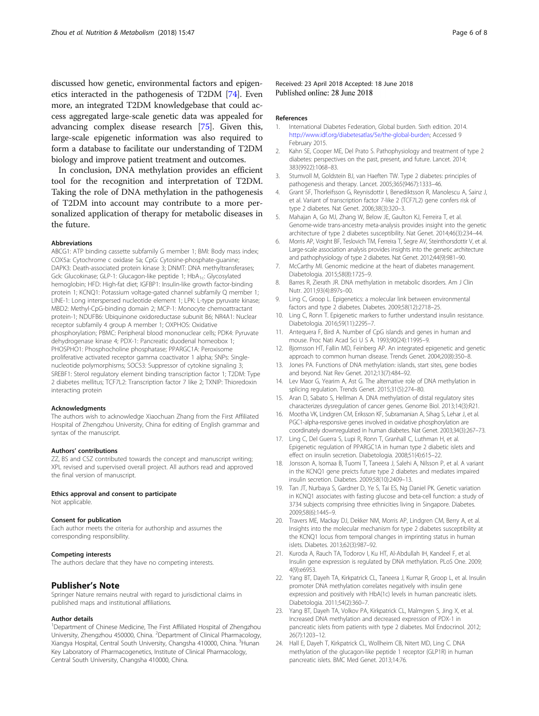<span id="page-5-0"></span>discussed how genetic, environmental factors and epigenetics interacted in the pathogenesis of T2DM [\[74](#page-7-0)]. Even more, an integrated T2DM knowledgebase that could access aggregated large-scale genetic data was appealed for advancing complex disease research [\[75\]](#page-7-0). Given this, large-scale epigenetic information was also required to form a database to facilitate our understanding of T2DM biology and improve patient treatment and outcomes.

In conclusion, DNA methylation provides an efficient tool for the recognition and interpretation of T2DM. Taking the role of DNA methylation in the pathogenesis of T2DM into account may contribute to a more personalized application of therapy for metabolic diseases in the future.

#### Abbreviations

ABCG1: ATP binding cassette subfamily G member 1; BMI: Body mass index; COX5a: Cytochrome c oxidase 5a; CpG: Cytosine-phosphate-guanine; DAPK3: Death-associated protein kinase 3; DNMT: DNA methyltransferases; Gck: Glucokinase; GLP-1: Glucagon-like peptide 1; HbA<sub>1c</sub>: Glycosylated hemoglobin; HFD: High-fat diet; IGFBP1: Insulin-like growth factor-binding protein 1; KCNQ1: Potassium voltage-gated channel subfamily Q member 1; LINE-1: Long interspersed nucleotide element 1; LPK: L-type pyruvate kinase; MBD2: Methyl-CpG-binding domain 2; MCP-1: Monocyte chemoattractant protein-1; NDUFB6: Ubiquinone oxidoreductase subunit B6; NR4A1: Nuclear receptor subfamily 4 group A member 1; OXPHOS: Oxidative phosphorylation; PBMC: Peripheral blood mononuclear cells; PDK4: Pyruvate dehydrogenase kinase 4; PDX-1: Pancreatic duodenal homeobox 1; PHOSPHO1: Phosphocholine phosphatase; PPARGC1A: Peroxisome proliferative activated receptor gamma coactivator 1 alpha; SNPs: Singlenucleotide polymorphisms; SOCS3: Suppressor of cytokine signaling 3; SREBF1: Sterol regulatory element binding transcription factor 1; T2DM: Type 2 diabetes mellitus; TCF7L2: Transcription factor 7 like 2; TXNIP: Thioredoxin interacting protein

#### Acknowledgments

The authors wish to acknowledge Xiaochuan Zhang from the First Affiliated Hospital of Zhengzhou University, China for editing of English grammar and syntax of the manuscript.

#### Authors' contributions

ZZ, BS and CSZ contributed towards the concept and manuscript writing; XPL revised and supervised overall project. All authors read and approved the final version of manuscript.

#### Ethics approval and consent to participate

Not applicable.

#### Consent for publication

Each author meets the criteria for authorship and assumes the corresponding responsibility.

#### Competing interests

The authors declare that they have no competing interests.

### Publisher's Note

Springer Nature remains neutral with regard to jurisdictional claims in published maps and institutional affiliations.

#### Author details

<sup>1</sup>Department of Chinese Medicine, The First Affiliated Hospital of Zhengzhou University, Zhengzhou 450000, China. <sup>2</sup>Department of Clinical Pharmacology, Xiangya Hospital, Central South University, Changsha 410000, China. <sup>3</sup>Hunan Key Laboratory of Pharmacogenetics, Institute of Clinical Pharmacology, Central South University, Changsha 410000, China.

#### References

- 1. International Diabetes Federation, Global burden. Sixth edition. 2014. [http://www.idf.org/diabetesatlas/5e/the-global-burden;](http://www.idf.org/diabetesatlas/5e/the-global-burden) Accessed 9 February 2015.
- 2. Kahn SE, Cooper ME, Del Prato S. Pathophysiology and treatment of type 2 diabetes: perspectives on the past, present, and future. Lancet. 2014; 383(9922):1068–83.
- 3. Stumvoll M, Goldstein BJ, van Haeften TW. Type 2 diabetes: principles of pathogenesis and therapy. Lancet. 2005;365(9467):1333–46.
- 4. Grant SF, Thorleifsson G, Reynisdottir I, Benediktsson R, Manolescu A, Sainz J, et al. Variant of transcription factor 7-like 2 (TCF7L2) gene confers risk of type 2 diabetes. Nat Genet. 2006;38(3):320–3.
- 5. Mahajan A, Go MJ, Zhang W, Below JE, Gaulton KJ, Ferreira T, et al. Genome-wide trans-ancestry meta-analysis provides insight into the genetic architecture of type 2 diabetes susceptibility. Nat Genet. 2014;46(3):234–44.
- 6. Morris AP, Voight BF, Teslovich TM, Ferreira T, Segre AV, Steinthorsdottir V, et al. Large-scale association analysis provides insights into the genetic architecture and pathophysiology of type 2 diabetes. Nat Genet. 2012;44(9):981–90.
- 7. McCarthy MI. Genomic medicine at the heart of diabetes management. Diabetologia. 2015;58(8):1725–9.
- 8. Barres R, Zierath JR. DNA methylation in metabolic disorders. Am J Clin Nutr. 2011;93(4):897s–00.
- 9. Ling C, Groop L. Epigenetics: a molecular link between environmental factors and type 2 diabetes. Diabetes. 2009;58(12):2718–25.
- 10. Ling C, Ronn T. Epigenetic markers to further understand insulin resistance. Diabetologia. 2016;59(11):2295–7.
- 11. Antequera F, Bird A. Number of CpG islands and genes in human and mouse. Proc Nati Acad Sci U S A. 1993;90(24):11995–9.
- 12. Bjornsson HT, Fallin MD, Feinberg AP. An integrated epigenetic and genetic approach to common human disease. Trends Genet. 2004;20(8):350–8.
- 13. Jones PA. Functions of DNA methylation: islands, start sites, gene bodies and beyond. Nat Rev Genet. 2012;13(7):484–92.
- 14. Lev Maor G, Yearim A, Ast G. The alternative role of DNA methylation in splicing regulation. Trends Genet. 2015;31(5):274–80.
- 15. Aran D, Sabato S, Hellman A. DNA methylation of distal regulatory sites characterizes dysregulation of cancer genes. Genome Biol. 2013;14(3):R21.
- 16. Mootha VK, Lindgren CM, Eriksson KF, Subramanian A, Sihag S, Lehar J, et al. PGC1-alpha-responsive genes involved in oxidative phosphorylation are coordinately downregulated in human diabetes. Nat Genet. 2003;34(3):267–73.
- 17. Ling C, Del Guerra S, Lupi R, Ronn T, Granhall C, Luthman H, et al. Epigenetic regulation of PPARGC1A in human type 2 diabetic islets and effect on insulin secretion. Diabetologia. 2008;51(4):615–22.
- 18. Jonsson A, Isomaa B, Tuomi T, Taneera J, Salehi A, Nilsson P, et al. A variant in the KCNQ1 gene preicts future type 2 diabetes and mediates impaired insulin secretion. Diabetes. 2009;58(10):2409–13.
- 19. Tan JT, Nurbaya S, Gardner D, Ye S, Tai ES, Ng Daniel PK. Genetic variation in KCNQ1 associates with fasting glucose and beta-cell function: a study of 3734 subjects comprising three ethnicities living in Singapore. Diabetes. 2009;58(6):1445–9.
- 20. Travers ME, Mackay DJ, Dekker NM, Morris AP, Lindgren CM, Berry A, et al. Insights into the molecular mechanism for type 2 diabetes susceptibility at the KCNQ1 locus from temporal changes in imprinting status in human islets. Diabetes. 2013;62(3):987–92.
- 21. Kuroda A, Rauch TA, Todorov I, Ku HT, Al-Abdullah IH, Kandeel F, et al. Insulin gene expression is regulated by DNA methylation. PLoS One. 2009; 4(9):e6953.
- 22. Yang BT, Dayeh TA, Kirkpatrick CL, Taneera J, Kumar R, Groop L, et al. Insulin promoter DNA methylation correlates negatively with insulin gene expression and positively with HbA(1c) levels in human pancreatic islets. Diabetologia. 2011;54(2):360–7.
- 23. Yang BT, Dayeh TA, Volkov PA, Kirkpatrick CL, Malmgren S, Jing X, et al. Increased DNA methylation and decreased expression of PDX-1 in pancreatic islets from patients with type 2 diabetes. Mol Endocrinol. 2012; 26(7):1203–12.
- 24. Hall E, Dayeh T, Kirkpatrick CL, Wollheim CB, Nitert MD, Ling C. DNA methylation of the glucagon-like peptide 1 receptor (GLP1R) in human pancreatic islets. BMC Med Genet. 2013;14:76.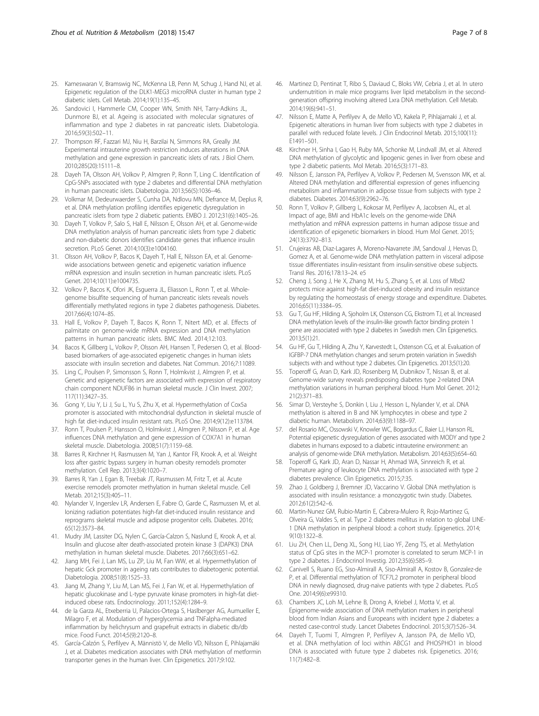- <span id="page-6-0"></span>25. Kameswaran V, Bramswig NC, McKenna LB, Penn M, Schug J, Hand NJ, et al. Epigenetic regulation of the DLK1-MEG3 microRNA cluster in human type 2 diabetic islets. Cell Metab. 2014;19(1):135–45.
- 26. Sandovici I, Hammerle CM, Cooper WN, Smith NH, Tarry-Adkins JL, Dunmore BJ, et al. Ageing is associated with molecular signatures of inflammation and type 2 diabetes in rat pancreatic islets. Diabetologia. 2016;59(3):502–11.
- 27. Thompson RF, Fazzari MJ, Niu H, Barzilai N, Simmons RA, Greally JM. Experimental intrauterine growth restriction induces alterations in DNA methylation and gene expression in pancreatic islets of rats. J Biol Chem. 2010;285(20):15111–8.
- 28. Dayeh TA, Olsson AH, Volkov P, Almgren P, Ronn T, Ling C. Identification of CpG-SNPs associated with type 2 diabetes and differential DNA methylation in human pancreatic islets. Diabetologia. 2013;56(5):1036–46.
- 29. Volkmar M, Dedeurwaerder S, Cunha DA, Ndlovu MN, Defrance M, Deplus R, et al. DNA methylation profiling identifies epigenetic dysregulation in pancreatic islets from type 2 diabetic patients. EMBO J. 2012;31(6):1405–26.
- 30. Dayeh T, Volkov P, Salo S, Hall E, Nilsson E, Olsson AH, et al. Genome-wide DNA methylation analysis of human pancreatic islets from type 2 diabetic and non-diabetic donors identifies candidate genes that influence insulin secretion. PLoS Genet. 2014;10(3):e1004160.
- 31. Olsson AH, Volkov P, Bacos K, Dayeh T, Hall E, Nilsson EA, et al. Genomewide associations between genetic and epigenetic variation influence mRNA expression and insulin secretion in human pancreatic islets. PLoS Genet. 2014;10(11):e1004735.
- 32. Volkov P, Bacos K, Ofori JK, Esguerra JL, Eliasson L, Ronn T, et al. Wholegenome bisulfite sequencing of human pancreatic islets reveals novels differentially methylated regions in type 2 diabetes pathogenesis. Diabetes. 2017;66(4):1074–85.
- 33. Hall E, Volkov P, Dayeh T, Bacos K, Ronn T, Nitert MD, et al. Effects of palmitate on genome-wide mRNA expression and DNA methylation patterns in human pancreatic islets. BMC Med. 2014;12:103.
- 34. Bacos K, Gillberg L, Volkov P, Olsson AH, Hansen T, Pedersen O, et al. Bloodbased biomarkers of age-associated epigenetic changes in human islets associate with insulin secretion and diabetes. Nat Commun. 2016;7:11089.
- 35. Ling C, Poulsen P, Simonsson S, Ronn T, Holmkvist J, Almgren P, et al. Genetic and epigenetic factors are associated with expression of respiratory chain component NDUFB6 in human skeletal muscle. J Clin Invest. 2007; 117(11):3427–35.
- 36. Gong Y, Liu Y, Li J, Su L, Yu S, Zhu X, et al. Hypermethylation of Cox5a promoter is associated with mitochondrial dysfunction in skeletal muscle of high fat diet-induced insulin resistant rats. PLoS One. 2014;9(12):e113784.
- 37. Ronn T, Poulsen P, Hansson O, Holmkvist J, Almgren P, Nilsson P, et al. Age influences DNA methylation and gene expression of COX7A1 in human skeletal muscle. Diabetologia. 2008;51(7):1159–68.
- 38. Barres R, Kirchner H, Rasmussen M, Yan J, Kantor FR, Krook A, et al. Weight loss after gastric bypass surgery in human obesity remodels promoter methylation. Cell Rep. 2013;3(4):1020–7.
- 39. Barres R, Yan J, Egan B, Treebak JT, Rasmussen M, Fritz T, et al. Acute exercise remodels promoter methylation in human skeletal muscle. Cell Metab. 2012;15(3):405–11.
- 40. Nylander V, Ingerslev LR, Andersen E, Fabre O, Garde C, Rasmussen M, et al. Ionizing radiation potentiates high-fat diet-induced insulin resistance and reprograms skeletal muscle and adipose progenitor cells. Diabetes. 2016; 65(12):3573–84.
- 41. Mudry JM, Lassiter DG, Nylen C, García-Calzon S, Naslund E, Krook A, et al. Insulin and glucose alter death-associated protein kinase 3 (DAPK3) DNA methylation in human skeletal muscle. Diabetes. 2017;66(3):651–62.
- 42. Jiang MH, Fei J, Lan MS, Lu ZP, Liu M, Fan WW, et al. Hypermethylation of hepatic Gck promoter in ageing rats contributes to diabetogenic potential. Diabetologia. 2008;51(8):1525–33.
- 43. Jiang M, Zhang Y, Liu M, Lan MS, Fei J, Fan W, et al. Hypermethylation of hepatic glucokinase and L-type pyruvate kinase promoters in high-fat dietinduced obese rats. Endocrinology. 2011;152(4):1284–9.
- 44. de la Garza AL, Etxeberria U, Palacios-Ortega S, Haslberger AG, Aumueller E, Milagro F, et al. Modulation of hyperglycemia and TNFalpha-mediated inflammation by helichrysum and grapefruit extracts in diabetic db/db mice. Food Funct. 2014;5(9):2120–8.
- 45. García-Calzón S, Perfilyev A, Männistö V, de Mello VD, Nilsson E, Pihlajamäki J, et al. Diabetes medication associates with DNA methylation of metformin transporter genes in the human liver. Clin Epigenetics. 2017;9:102.
- 46. Martinez D, Pentinat T, Ribo S, Daviaud C, Bloks VW, Cebria J, et al. In utero undernutrition in male mice programs liver lipid metabolism in the secondgeneration offspring involving altered Lxra DNA methylation. Cell Metab. 2014;19(6):941–51.
- 47. Nilsson E, Matte A, Perfilyev A, de Mello VD, Kakela P, Pihlajamaki J, et al. Epigenetic alterations in human liver from subjects with type 2 diabetes in parallel with reduced folate levels. J Clin Endocrinol Metab. 2015;100(11): E1491–501.
- 48. Kirchner H, Sinha I, Gao H, Ruby MA, Schonke M, Lindvall JM, et al. Altered DNA methylation of glycolytic and lipogenic genes in liver from obese and type 2 diabetic patients. Mol Metab. 2016;5(3):171–83.
- 49. Nilsson E, Jansson PA, Perfilyev A, Volkov P, Pedersen M, Svensson MK, et al. Altered DNA methylation and differential expression of genes influencing metabolism and inflammation in adipose tissue from subjects with type 2 diabetes. Diabetes. 2014;63(9):2962–76.
- 50. Ronn T, Volkov P, Gillberg L, Kokosar M, Perfilyev A, Jacobsen AL, et al. Impact of age, BMI and HbA1c levels on the genome-wide DNA methylation and mRNA expression patterns in human adipose tissue and identification of epigenetic biomarkers in blood. Hum Mol Genet. 2015; 24(13):3792–813.
- 51. Crujeiras AB, Diaz-Lagares A, Moreno-Navarrete JM, Sandoval J, Hervas D, Gomez A, et al. Genome-wide DNA methylation pattern in visceral adipose tissue differentiates insulin-resistant from insulin-sensitive obese subjects. Transl Res. 2016;178:13–24. e5
- 52. Cheng J, Song J, He X, Zhang M, Hu S, Zhang S, et al. Loss of Mbd2 protects mice against high-fat diet-induced obesity and insulin resistance by regulating the homeostasis of energy storage and expenditure. Diabetes. 2016;65(11):3384–95.
- 53. Gu T, Gu HF, Hilding A, Sjoholm LK, Ostenson CG, Ekstrom TJ, et al. Increased DNA methylation levels of the insulin-like growth factor binding protein 1 gene are associated with type 2 diabetes in Swedish men. Clin Epigenetics. 2013;5(1):21.
- 54. Gu HF, Gu T, Hilding A, Zhu Y, Karvestedt L, Ostenson CG, et al. Evaluation of IGFBP-7 DNA methylation changes and serum protein variation in Swedish subjects with and without type 2 diabetes. Clin Epigenetics. 2013;5(1):20.
- 55. Toperoff G, Aran D, Kark JD, Rosenberg M, Dubnikov T, Nissan B, et al. Genome-wide survey reveals predisposing diabetes type 2-related DNA methylation variations in human peripheral blood. Hum Mol Genet. 2012; 21(2):371–83.
- 56. Simar D, Versteyhe S, Donkin I, Liu J, Hesson L, Nylander V, et al. DNA methylation is altered in B and NK lymphocytes in obese and type 2 diabetic human. Metabolism. 2014;63(9):1188–97.
- 57. del Rosario MC, Ossowski V, Knowler WC, Bogardus C, Baier LJ, Hanson RL. Potential epigenetic dysregulation of genes associated with MODY and type 2 diabetes in humans exposed to a diabetic intrauterine environment: an analysis of genome-wide DNA methylation. Metabolism. 2014;63(5):654–60.
- 58. Toperoff G, Kark JD, Aran D, Nassar H, Ahmad WA, Sinnreich R, et al. Premature aging of leukocyte DNA methylation is associated with type 2 diabetes prevalence. Clin Epigenetics. 2015;7:35.
- 59. Zhao J, Goldberg J, Bremner JD, Vaccarino V. Global DNA methylation is associated with insulin resistance: a monozygotic twin study. Diabetes. 2012;61(2):542–6.
- 60. Martin-Nunez GM, Rubio-Martin E, Cabrera-Mulero R, Rojo-Martinez G, Olveira G, Valdes S, et al. Type 2 diabetes mellitus in relation to global LINE-1 DNA methylation in peripheral blood: a cohort study. Epigenetics. 2014; 9(10):1322–8.
- 61. Liu ZH, Chen LL, Deng XL, Song HJ, Liao YF, Zeng TS, et al. Methylation status of CpG sites in the MCP-1 promoter is correlated to serum MCP-1 in type 2 diabetes. J Endocrinol Investig. 2012;35(6):585–9.
- 62. Canivell S, Ruano EG, Siso-Almirall A, Siso-Almirall A, Kostov B, Gonzalez-de P, et al. Differential methylation of TCF7L2 promoter in peripheral blood DNA in newly diagnosed, drug-naive patients with type 2 diabetes. PLoS One. 2014;9(6):e99310.
- 63. Chambers JC, Loh M, Lehne B, Drong A, Kriebel J, Motta V, et al. Epigenome-wide association of DNA methylation markers in peripheral blood from Indian Asians and Europeans with incident type 2 diabetes: a nested case-control study. Lancet Diabetes Endocrinol. 2015;3(7):526–34.
- 64. Dayeh T, Tuomi T, Almgren P, Perfilyev A, Jansson PA, de Mello VD, et al. DNA methylation of loci within ABCG1 and PHOSPHO1 in blood DNA is associated with future type 2 diabetes risk. Epigenetics. 2016; 11(7):482–8.